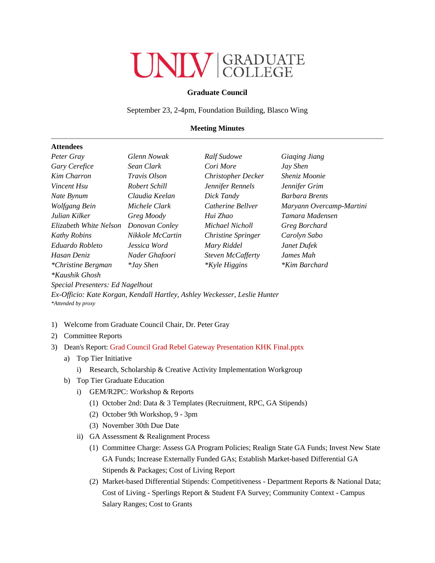## **ONIV GRADUATE**

## **Graduate Council**

September 23, 2-4pm, Foundation Building, Blasco Wing

## **Meeting Minutes**

## **Attendees**

| Peter Gray                | <b>Glenn Nowak</b>  | Ralf Sudowe               | Giaging Jiang            |
|---------------------------|---------------------|---------------------------|--------------------------|
| Gary Cerefice             | Sean Clark          | Cori More                 | Jay Shen                 |
| Kim Charron               | <i>Travis Olson</i> | <b>Christopher Decker</b> | Sheniz Moonie            |
| Vincent Hsu               | Robert Schill       | Jennifer Rennels          | Jennifer Grim            |
| Nate Bynum                | Claudia Keelan      | Dick Tandy                | <b>Barbara Brents</b>    |
| Wolfgang Bein             | Michele Clark       | Catherine Bellver         | Maryann Overcamp-Martini |
| Julian Kilker             | Greg Moody          | Hui Zhao                  | Tamara Madensen          |
| Elizabeth White Nelson    | Donovan Conley      | Michael Nicholl           | Greg Borchard            |
| <b>Kathy Robins</b>       | Nikkole McCartin    | Christine Springer        | Carolyn Sabo             |
| Eduardo Robleto           | Jessica Word        | Mary Riddel               | Janet Dufek              |
| Hasan Deniz               | Nader Ghafoori      | Steven McCafferty         | James Mah                |
| <i>*Christine Bergman</i> | <i>*Jay Shen</i>    | <i>*Kyle Higgins</i>      | <i>*Kim Barchard</i>     |
| <i>*Kaushik Ghosh</i>     |                     |                           |                          |

*Special Presenters: Ed Nagelhout* 

*Ex-Officio: Kate Korgan, Kendall Hartley, Ashley Weckesser, Leslie Hunter \*Attended by proxy*

- 1) Welcome from Graduate Council Chair, Dr. Peter Gray
- 2) Committee Reports
- 3) Dean's Report: [Grad Council Grad Rebel Gateway Presentation KHK Final.pptx](https://docs.google.com/a/unlv.edu/viewer?a=v&pid=sites&srcid=dW5sdi5lZHV8Z3JhZGNvbW1pdHRlZXN8Z3g6NDdjZGI0MTM2NjVjMDM0NQ)
	- a) Top Tier Initiative
		- i) Research, Scholarship & Creative Activity Implementation Workgroup
	- b) Top Tier Graduate Education
		- i) GEM/R2PC: Workshop & Reports
			- (1) October 2nd: Data & 3 Templates (Recruitment, RPC, GA Stipends)
			- (2) October 9th Workshop, 9 3pm
			- (3) November 30th Due Date
		- ii) GA Assessment & Realignment Process
			- (1) Committee Charge: Assess GA Program Policies; Realign State GA Funds; Invest New State GA Funds; Increase Externally Funded GAs; Establish Market-based Differential GA Stipends & Packages; Cost of Living Report
			- (2) Market-based Differential Stipends: Competitiveness Department Reports & National Data; Cost of Living - Sperlings Report & Student FA Survey; Community Context - Campus Salary Ranges; Cost to Grants